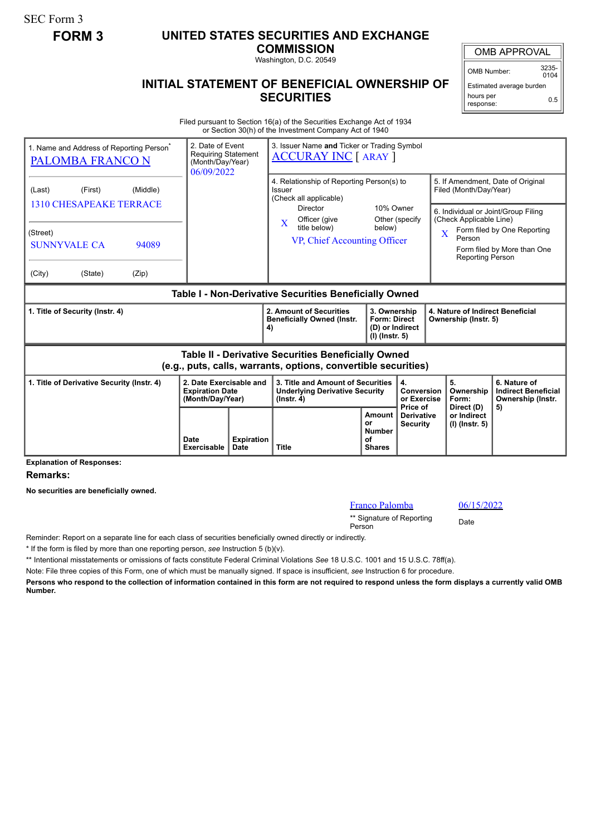SEC Form 3

## **FORM 3 UNITED STATES SECURITIES AND EXCHANGE**

**COMMISSION**

Washington, D.C. 20549

## **INITIAL STATEMENT OF BENEFICIAL OWNERSHIP OF SECURITIES**

OMB APPROVAL

OMB Number: 3235-  $0104$ 

Estimated average burden hours per response: 0.5

Filed pursuant to Section 16(a) of the Securities Exchange Act of 1934 or Section 30(h) of the Investment Company Act of 1940

| 1. Name and Address of Reporting Person <sup>®</sup><br><b>PALOMBA FRANCO N</b>                                                           | 2. Date of Event<br>3. Issuer Name and Ticker or Trading Symbol<br><b>Requiring Statement</b><br><b>ACCURAY INC [ ARAY ]</b><br>(Month/Day/Year)<br>06/09/2022 |  |                                                                                                                                                                               |                                                                          |                                                  |                                                                                                                                                                                             |                                                                 |
|-------------------------------------------------------------------------------------------------------------------------------------------|----------------------------------------------------------------------------------------------------------------------------------------------------------------|--|-------------------------------------------------------------------------------------------------------------------------------------------------------------------------------|--------------------------------------------------------------------------|--------------------------------------------------|---------------------------------------------------------------------------------------------------------------------------------------------------------------------------------------------|-----------------------------------------------------------------|
| (Middle)<br>(Last)<br>(First)<br><b>1310 CHESAPEAKE TERRACE</b><br>(Street)<br><b>SUNNYVALE CA</b><br>94089<br>(City)<br>(State)<br>(Zip) |                                                                                                                                                                |  | 4. Relationship of Reporting Person(s) to<br><b>Issuer</b><br>(Check all applicable)<br><b>Director</b><br>Officer (give<br>X<br>title below)<br>VP, Chief Accounting Officer | 10% Owner<br>below)                                                      | Other (specify                                   | 5. If Amendment, Date of Original<br>Filed (Month/Day/Year)<br>6. Individual or Joint/Group Filing<br>(Check Applicable Line)<br>$\overline{\text{X}}$<br>Person<br><b>Reporting Person</b> | Form filed by One Reporting<br>Form filed by More than One      |
| Table I - Non-Derivative Securities Beneficially Owned                                                                                    |                                                                                                                                                                |  |                                                                                                                                                                               |                                                                          |                                                  |                                                                                                                                                                                             |                                                                 |
| 1. Title of Security (Instr. 4)                                                                                                           |                                                                                                                                                                |  | 2. Amount of Securities<br><b>Beneficially Owned (Instr.</b><br>4)                                                                                                            | 3. Ownership<br><b>Form: Direct</b><br>(D) or Indirect<br>(I) (Instr. 5) |                                                  | 4. Nature of Indirect Beneficial<br>Ownership (Instr. 5)                                                                                                                                    |                                                                 |
| Table II - Derivative Securities Beneficially Owned<br>(e.g., puts, calls, warrants, options, convertible securities)                     |                                                                                                                                                                |  |                                                                                                                                                                               |                                                                          |                                                  |                                                                                                                                                                                             |                                                                 |
| 1. Title of Derivative Security (Instr. 4)                                                                                                | 2. Date Exercisable and<br><b>Expiration Date</b><br>(Month/Day/Year)                                                                                          |  | 3. Title and Amount of Securities<br><b>Underlying Derivative Security</b><br>$($ Instr. 4 $)$                                                                                | 4.<br>Conversion<br>or Exercise                                          |                                                  | 5.<br>Ownership<br>Form:                                                                                                                                                                    | 6. Nature of<br><b>Indirect Beneficial</b><br>Ownership (Instr. |
| Providence of the control Pro-                                                                                                            | <b>Expiration</b><br>Date<br>Exercisable<br>Date                                                                                                               |  | <b>Title</b>                                                                                                                                                                  | Amount<br>or<br><b>Number</b><br>of<br><b>Shares</b>                     | Price of<br><b>Derivative</b><br><b>Security</b> | Direct (D)<br>or Indirect<br>(I) (Instr. 5)                                                                                                                                                 | 5)                                                              |

**Explanation of Responses:**

**Remarks:**

**No securities are beneficially owned.**

## Franco Palomba 06/15/2022

\*\* Signature of Reporting Person Date

Reminder: Report on a separate line for each class of securities beneficially owned directly or indirectly.

\* If the form is filed by more than one reporting person, *see* Instruction 5 (b)(v).

\*\* Intentional misstatements or omissions of facts constitute Federal Criminal Violations *See* 18 U.S.C. 1001 and 15 U.S.C. 78ff(a).

Note: File three copies of this Form, one of which must be manually signed. If space is insufficient, *see* Instruction 6 for procedure.

**Persons who respond to the collection of information contained in this form are not required to respond unless the form displays a currently valid OMB Number.**